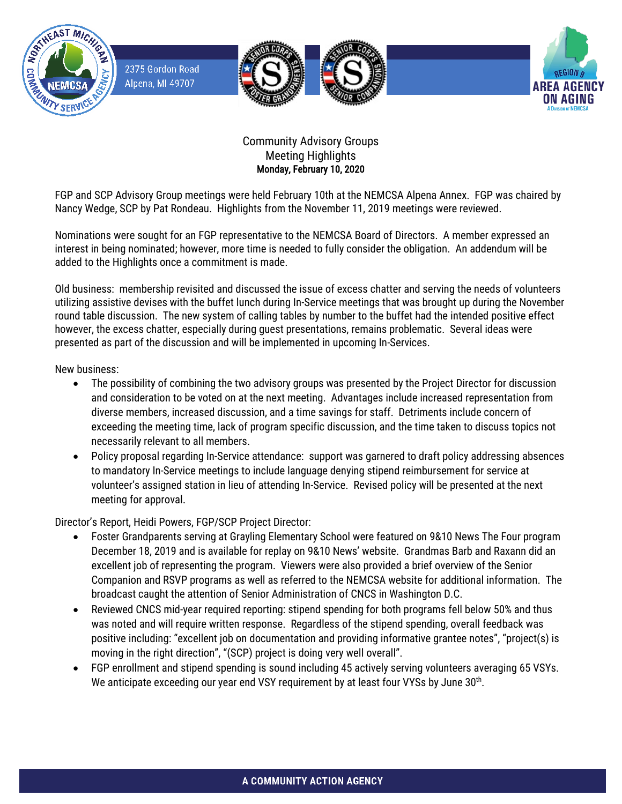

2375 Gordon Road Alpena, MI 49707







## Community Advisory Groups Meeting Highlights Monday, February 10, 2020

FGP and SCP Advisory Group meetings were held February 10th at the NEMCSA Alpena Annex. FGP was chaired by Nancy Wedge, SCP by Pat Rondeau. Highlights from the November 11, 2019 meetings were reviewed.

Nominations were sought for an FGP representative to the NEMCSA Board of Directors. A member expressed an interest in being nominated; however, more time is needed to fully consider the obligation. An addendum will be added to the Highlights once a commitment is made.

Old business: membership revisited and discussed the issue of excess chatter and serving the needs of volunteers utilizing assistive devises with the buffet lunch during In-Service meetings that was brought up during the November round table discussion. The new system of calling tables by number to the buffet had the intended positive effect however, the excess chatter, especially during guest presentations, remains problematic. Several ideas were presented as part of the discussion and will be implemented in upcoming In-Services.

New business:

- The possibility of combining the two advisory groups was presented by the Project Director for discussion and consideration to be voted on at the next meeting. Advantages include increased representation from diverse members, increased discussion, and a time savings for staff. Detriments include concern of exceeding the meeting time, lack of program specific discussion, and the time taken to discuss topics not necessarily relevant to all members.
- Policy proposal regarding In-Service attendance: support was garnered to draft policy addressing absences to mandatory In-Service meetings to include language denying stipend reimbursement for service at volunteer's assigned station in lieu of attending In-Service. Revised policy will be presented at the next meeting for approval.

Director's Report, Heidi Powers, FGP/SCP Project Director:

- Foster Grandparents serving at Grayling Elementary School were featured on 9&10 News The Four program December 18, 2019 and is available for replay on 9&10 News' website. Grandmas Barb and Raxann did an excellent job of representing the program. Viewers were also provided a brief overview of the Senior Companion and RSVP programs as well as referred to the NEMCSA website for additional information. The broadcast caught the attention of Senior Administration of CNCS in Washington D.C.
- Reviewed CNCS mid-year required reporting: stipend spending for both programs fell below 50% and thus was noted and will require written response. Regardless of the stipend spending, overall feedback was positive including: "excellent job on documentation and providing informative grantee notes", "project(s) is moving in the right direction", "(SCP) project is doing very well overall".
- FGP enrollment and stipend spending is sound including 45 actively serving volunteers averaging 65 VSYs. We anticipate exceeding our year end VSY requirement by at least four VYSs by June 30<sup>th</sup>.